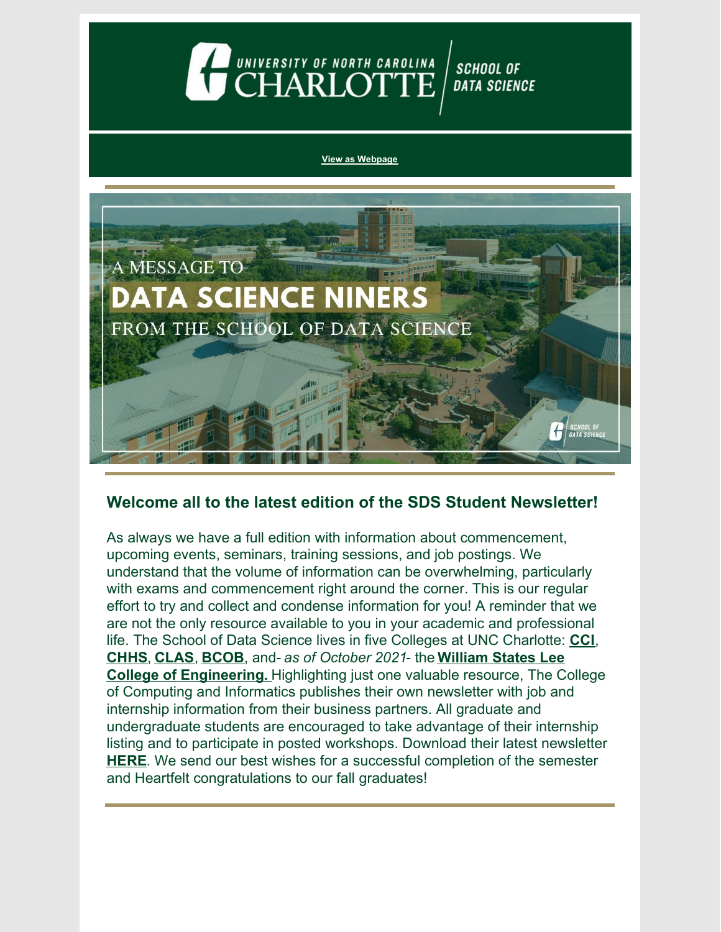### UNIVERSITY OF NORTH CAROLINA **SCHOOL OF DATA SCIENCE**

#### **View as [Webpage](https://campaignlp.constantcontact.com/em/1130527463971/9a830197-b988-43d4-b4d5-e0e5e2ed444e)**



### **Welcome all to the latest edition of the SDS Student Newsletter!**

As always we have a full edition with information about commencement, upcoming events, seminars, training sessions, and job postings. We understand that the volume of information can be overwhelming, particularly with exams and commencement right around the corner. This is our regular effort to try and collect and condense information for you! A reminder that we are not the only resource available to you in your academic and professional life. The School of Data Science lives in five Colleges at UNC Charlotte: **[CCI](https://cci.charlotte.edu/)**, **[CHHS](https://health.charlotte.edu/)**, **[CLAS](https://clas.charlotte.edu/)**, **[BCOB](https://belkcollege.charlotte.edu/)**, and- *as of October 2021*- the **William States Lee College of [Engineering.](https://engr.charlotte.edu/)** Highlighting just one valuable resource, The College of Computing and Informatics publishes their own newsletter with job and internship information from their business partners. All graduate and undergraduate students are encouraged to take advantage of their internship listing and to participate in posted workshops. Download their latest newsletter **[HERE](https://drive.google.com/file/d/1sarJiekz_wysckd1mJkA3qU82loTmlBu/view?usp=sharing)**. We send our best wishes for a successful completion of the semester and Heartfelt congratulations to our fall graduates!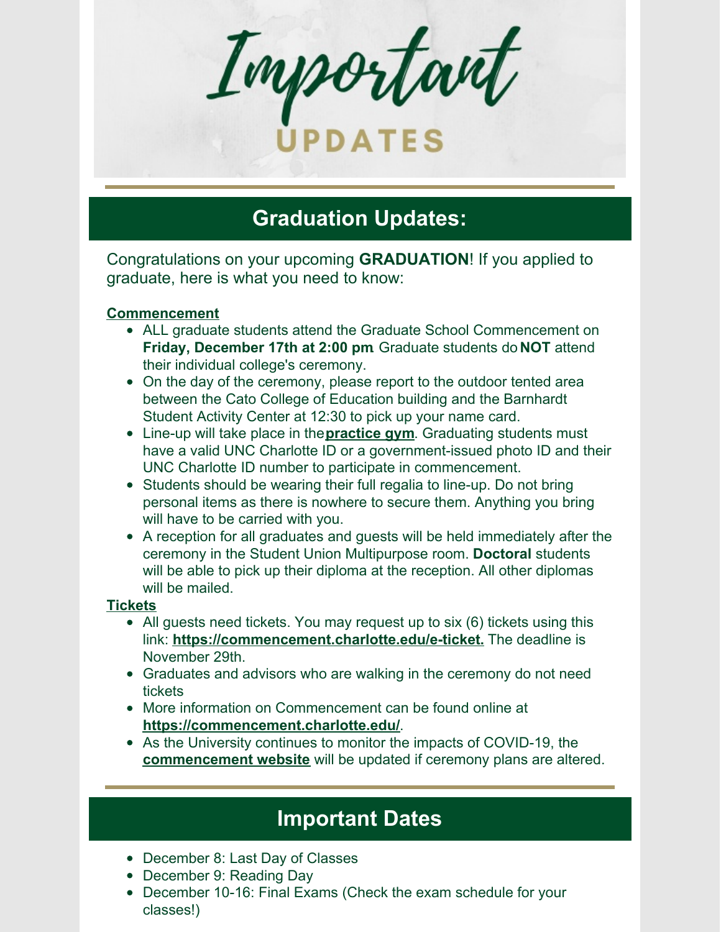Important

# **PDATE:**

## **Graduation Updates:**

Congratulations on your upcoming **GRADUATION**! If you applied to graduate, here is what you need to know:

#### **Commencement**

- ALL graduate students attend the Graduate School Commencement on **Friday, December 17th at 2:00 pm**. Graduate students do **NOT** attend their individual college's ceremony.
- On the day of the ceremony, please report to the outdoor tented area between the Cato College of Education building and the Barnhardt Student Activity Center at 12:30 to pick up your name card.
- Line-up will take place in the**[practice](https://click.mc.uncc.edu/?qs=cc780f04d69d0237e08fdbd01ac724f4b9effa0615ef331a8cb14b40cf8d3dcced9f9187d57cbb8e32bfc4b6738694679b97fe144006fa99) gym**. Graduating students must have a valid UNC Charlotte ID or a government-issued photo ID and their UNC Charlotte ID number to participate in commencement.
- Students should be wearing their full regalia to line-up. Do not bring personal items as there is nowhere to secure them. Anything you bring will have to be carried with you.
- A reception for all graduates and guests will be held immediately after the ceremony in the Student Union Multipurpose room. **Doctoral** students will be able to pick up their diploma at the reception. All other diplomas will be mailed.

#### **Tickets**

- All guests need tickets. You may request up to six (6) tickets using this link: **<https://commencement.charlotte.edu/e-ticket>.** The deadline is November 29th.
- Graduates and advisors who are walking in the ceremony do not need tickets
- More information on Commencement can be found online at **<https://commencement.charlotte.edu/>**.
- As the University continues to monitor the impacts of COVID-19, the **[commencement](https://click.mc.uncc.edu/?qs=cc780f04d69d0237c97742d57d4ee003f4c067505f4adeefad12ddac7881652fba6910337cdae0fb14800b3ea51e53335be696f056a8ad0b) website** will be updated if ceremony plans are altered.

## **Important Dates**

- December 8: Last Day of Classes
- December 9: Reading Day
- December 10-16: Final Exams (Check the exam schedule for your classes!)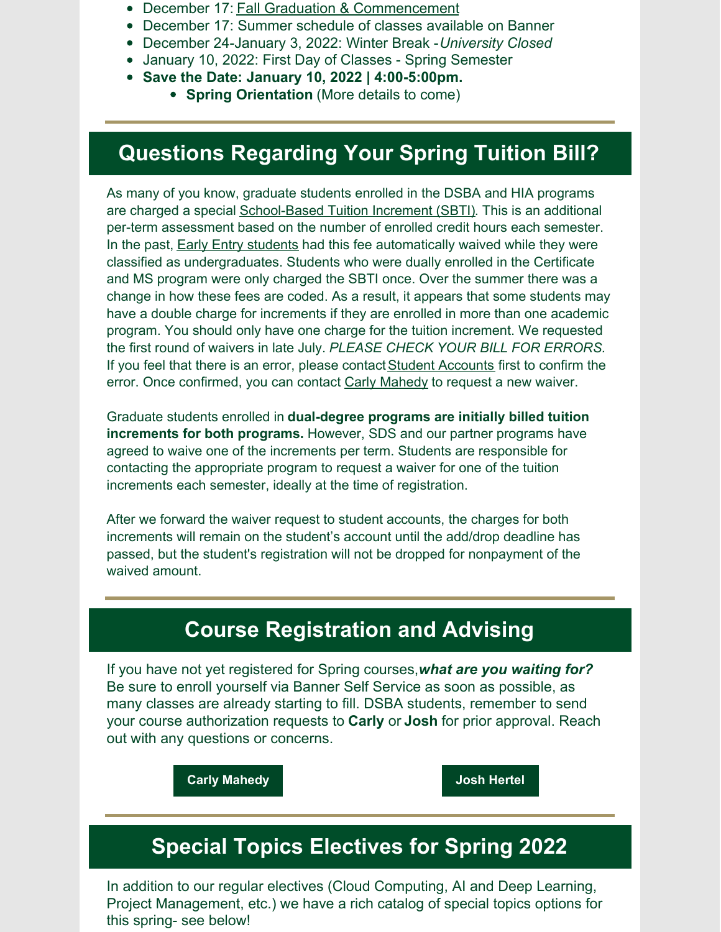- December 17: Fall Graduation & [Commencement](https://commencement.charlotte.edu/)
- December 17: Summer schedule of classes available on Banner
- December 24-January 3, 2022: Winter Break -*University Closed*
- January 10, 2022: First Day of Classes Spring Semester
- **Save the Date: January 10, 2022 | 4:00-5:00pm.**
	- **Spring Orientation** (More details to come)

## **Questions Regarding Your Spring Tuition Bill?**

As many of you know, graduate students enrolled in the DSBA and HIA programs are charged a special [School-Based](https://dsba.uncc.edu/current-students/tuition-increment) Tuition Increment (SBTI). This is an additional per-term assessment based on the number of enrolled credit hours each semester. In the past, **Early Entry [students](https://gradadmissions.uncc.edu/admissions/early-entry)** had this fee automatically waived while they were classified as undergraduates. Students who were dually enrolled in the Certificate and MS program were only charged the SBTI once. Over the summer there was a change in how these fees are coded. As a result, it appears that some students may have a double charge for increments if they are enrolled in more than one academic program. You should only have one charge for the tuition increment. We requested the first round of waivers in late July. *PLEASE CHECK YOUR BILL FOR ERRORS.* If you feel that there is an error, please contact Student [Accounts](https://ninercentral.uncc.edu/billing-payments-refunds/billing-information) first to confirm the error. Once confirmed, you can contact Carly [Mahedy](mailto:CFletcher@uncc.edu) to request a new waiver.

Graduate students enrolled in **dual-degree programs are initially billed tuition increments for both programs.** However, SDS and our partner programs have agreed to waive one of the increments per term. Students are responsible for contacting the appropriate program to request a waiver for one of the tuition increments each semester, ideally at the time of registration.

After we forward the waiver request to student accounts, the charges for both increments will remain on the student's account until the add/drop deadline has passed, but the student's registration will not be dropped for nonpayment of the waived amount.

## **Course Registration and Advising**

If you have not yet registered for Spring courses,*what are you waiting for?* Be sure to enroll yourself via Banner Self Service as soon as possible, as many classes are already starting to fill. DSBA students, remember to send your course authorization requests to **Carly** or **Josh** for prior approval. Reach out with any questions or concerns.

**Carly [Mahedy](mailto:cfletcher@uncc.edu) Josh [Hertel](mailto:jhertel@uncc.edu)**

## **Special Topics Electives for Spring 2022**

In addition to our regular electives (Cloud Computing, AI and Deep Learning, Project Management, etc.) we have a rich catalog of special topics options for this spring- see below!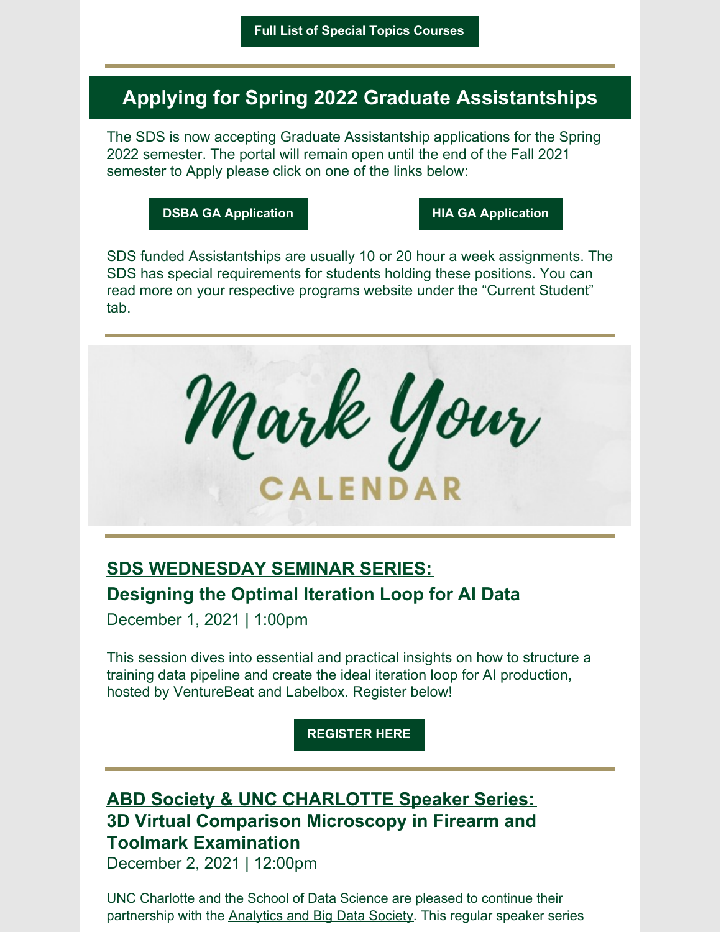### **Applying for Spring 2022 Graduate Assistantships**

The SDS is now accepting Graduate Assistantship applications for the Spring 2022 semester. The portal will remain open until the end of the Fall 2021 semester to Apply please click on one of the links below:

**DSBA GA [Application](https://dsba.charlotte.edu/current-students/graduate-assistantships) HIA GA [Application](https://hia.charlotte.edu/current-students/graduate-assistantships)**

SDS funded Assistantships are usually 10 or 20 hour a week assignments. The SDS has special requirements for students holding these positions. You can read more on your respective programs website under the "Current Student" tab.



### **SDS WEDNESDAY SEMINAR SERIES: Designing the Optimal Iteration Loop for AI Data**

December 1, 2021 | 1:00pm

This session dives into essential and practical insights on how to structure a training data pipeline and create the ideal iteration loop for AI production, hosted by VentureBeat and Labelbox. [Register](https://reportstechcuratedsystems.com/designing-the-optimal-iteration-loop-for-ai-data/28177?uid=Li6W3xdq4cNC1uZpmEtC&prom_type=regular&prom_id=150652&pld=26L81sNgpwNGbf) below!

**[REGISTER](https://reportstechcuratedsystems.com/designing-the-optimal-iteration-loop-for-ai-data/28177?uid=Li6W3xdq4cNC1uZpmEtC&prom_type=regular&prom_id=150652&pld=26L81sNgpwNGbf) HERE**

### **ABD Society & UNC CHARLOTTE Speaker Series: 3D Virtual Comparison Microscopy in Firearm and Toolmark Examination**

December 2, 2021 | 12:00pm

UNC Charlotte and the School of Data Science are pleased to continue their partnership with the [Analytics](https://www.abdsociety.org/who-we-are) and Big Data Society. This regular speaker series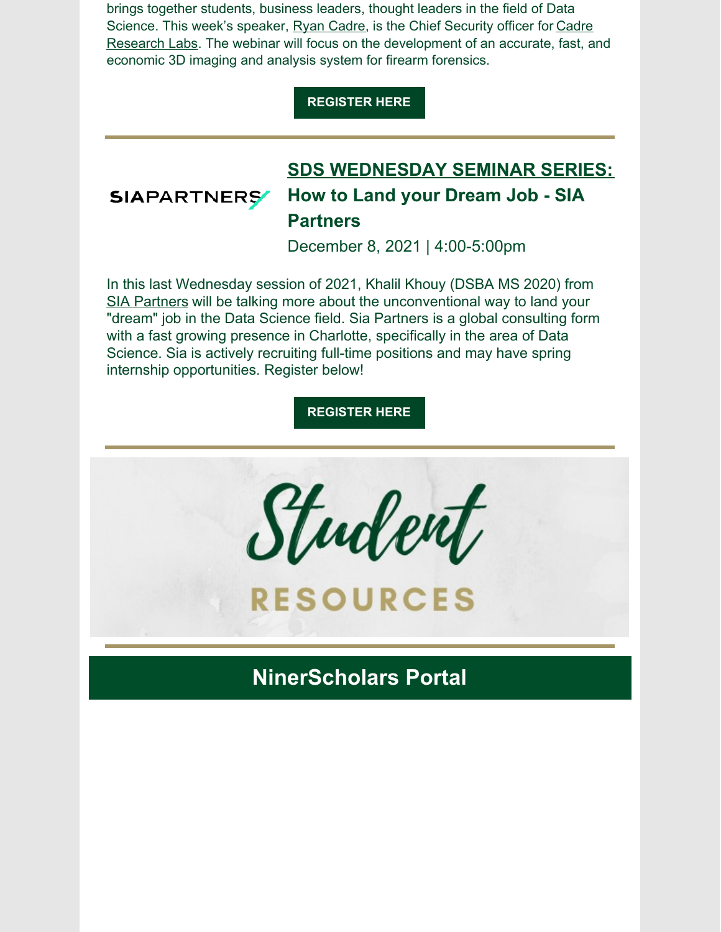brings together students, business leaders, thought leaders in the field of Data Science. This week's speaker, Ryan [Cadre](https://www.linkedin.com/in/ryanlilien/?mc_cid=b51c5fe445&mc_eid=10ad5c854f), is the Chief Security officer for Cadre Research Labs. The webinar will focus on the [development](https://www.cadreresearchlabs.com/?mc_cid=b51c5fe445&mc_eid=10ad5c854f) of an accurate, fast, and economic 3D imaging and analysis system for firearm forensics.

#### **[REGISTER](https://us02web.zoom.us/webinar/register/WN_2B4enG5uTu-uVDAgsyiWtA?mc_cid=b51c5fe445&mc_eid=10ad5c854f) HERE**

#### **SDS WEDNESDAY SEMINAR SERIES: SIAPARTNERS How to Land your Dream Job - SIA Partners**

December 8, 2021 | 4:00-5:00pm

In this last Wednesday session of 2021, Khalil Khouy (DSBA MS 2020) from SIA [Partners](https://www.sia-partners.com/en/who-we-are?utm_term=sia partners amsterdam&utm_campaign=FOVE+-+SIA+-+MARQUE+-+US&utm_source=adwords&utm_medium=ppc&hsa_acc=3012009667&hsa_cam=12981335258&hsa_grp=124348500160&hsa_ad=519402150184&hsa_src=g&hsa_tgt=dsa-603571666549&hsa_kw=sia partners amsterdam&hsa_mt=b&hsa_net=adwords&hsa_ver=3&gclid=CjwKCAiAvriMBhAuEiwA8Cs5lbeOTaS0NvfE8t844J_HlYSS3u_GFvjLiaMYxGYFD7EUzUQAkdG_YRoC-DoQAvD_BwE) will be talking more about the unconventional way to land your "dream" job in the Data Science field. Sia Partners is a global consulting form with a fast growing presence in Charlotte, specifically in the area of Data Science. Sia is actively recruiting full-time positions and may have spring internship opportunities. Register below!

**[REGISTER](https://www.eventbrite.com/e/sds-wednesday-seminar-how-to-land-your-dream-job-tickets-188657137577) HERE**



**RESOURCES** 

**NinerScholars Portal**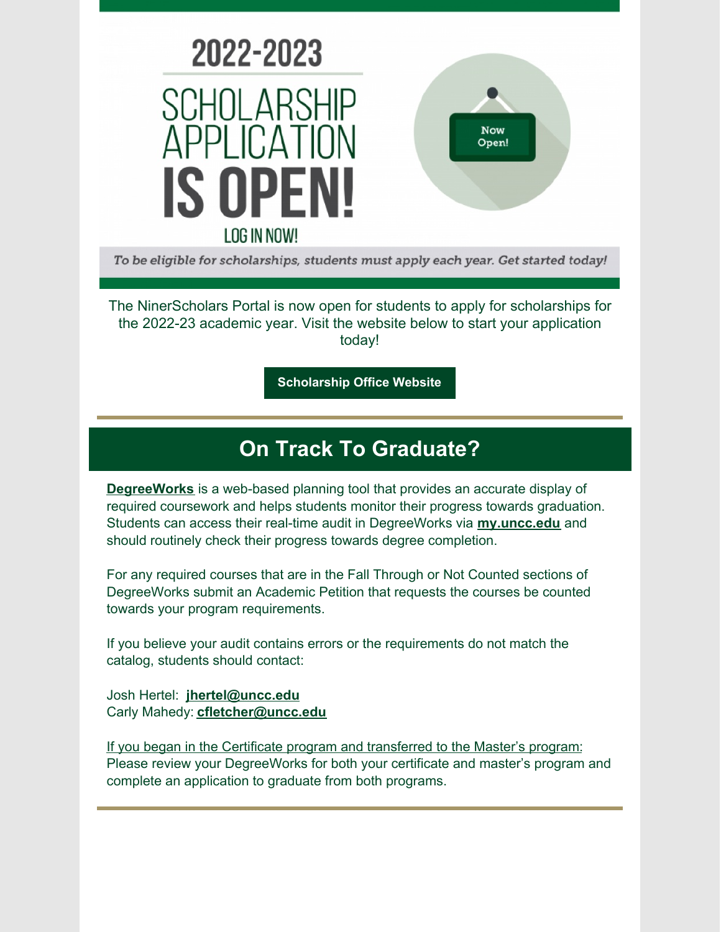

To be eligible for scholarships, students must apply each year. Get started today!

The NinerScholars Portal is now open for students to apply for scholarships for the 2022-23 academic year. Visit the website below to start your application today!

**[Scholarship](https://scholarships.charlotte.edu/) Office Website**

## **On Track To Graduate?**

**[DegreeWorks](https://www.youtube.com/watch?v=thiIHu-pdHM)** is a web-based planning tool that provides an accurate display of required coursework and helps students monitor their progress towards graduation. Students can access their real-time audit in DegreeWorks via **[my.uncc.edu](http://my.uncc.edu/)** and should routinely check their progress towards degree completion.

For any required courses that are in the Fall Through or Not Counted sections of DegreeWorks submit an Academic Petition that requests the courses be counted towards your program requirements.

If you believe your audit contains errors or the requirements do not match the catalog, students should contact:

Josh Hertel: **[jhertel@uncc.edu](mailto:jhertel@uncc.edu)** Carly Mahedy: **[cfletcher@uncc.edu](mailto:cfletcher@uncc.edu)**

If you began in the Certificate program and transferred to the Master's program: Please review your DegreeWorks for both your certificate and master's program and complete an application to graduate from both programs.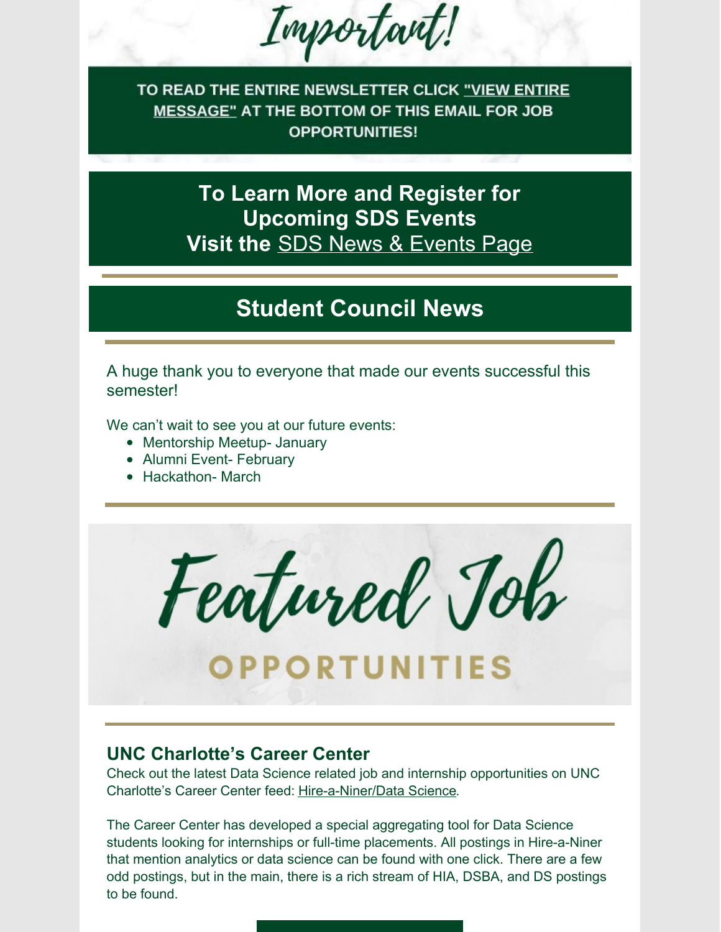Important!

TO READ THE ENTIRE NEWSLETTER CLICK "VIEW ENTIRE MESSAGE" AT THE BOTTOM OF THIS EMAIL FOR JOB **OPPORTUNITIES!** 

> **To Learn More and Register for Upcoming SDS Events Visit the** SDS News & [Events](https://datascience.charlotte.edu/recent-news) Page

## **Student Council News**

A huge thank you to everyone that made our events successful this semester!

We can't wait to see you at our future events:

- Mentorship Meetup- January
- Alumni Event- February
- Hackathon- March

Featured Joh

# OPPORTUNITIES

### **UNC Charlotte's Career Center**

Check out the latest Data Science related job and internship opportunities on UNC Charlotte's Career Center feed: [Hire-a-Niner/Data](https://hireaniner.uncc.edu/jobs/type:SoDS) Science.

The Career Center has developed a special aggregating tool for Data Science students looking for internships or full-time placements. All postings in Hire-a-Niner that mention analytics or data science can be found with one click. There are a few odd postings, but in the main, there is a rich stream of HIA, DSBA, and DS postings to be found.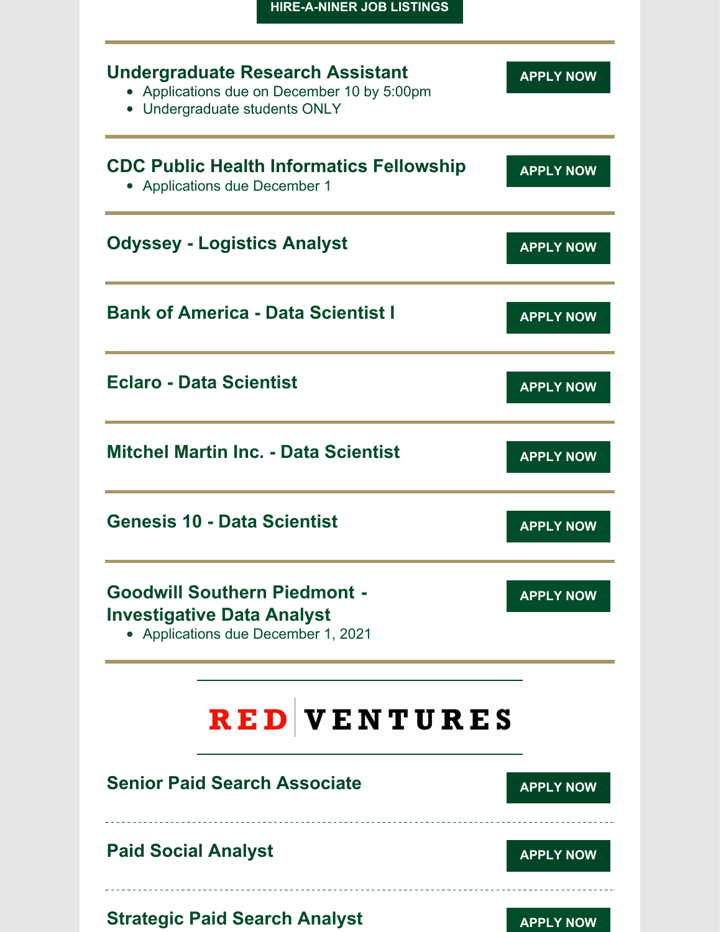